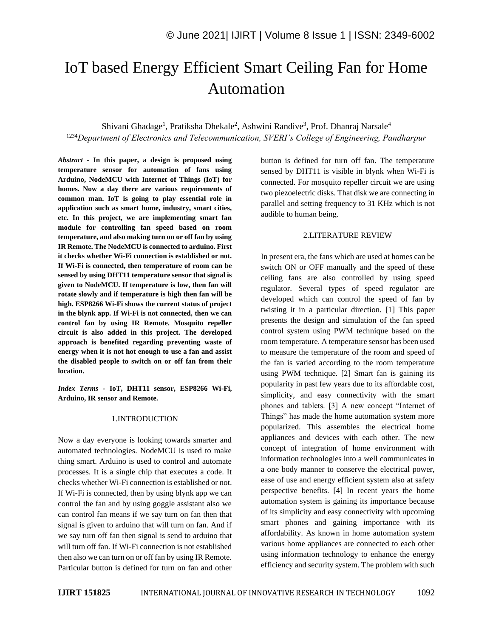# IoT based Energy Efficient Smart Ceiling Fan for Home Automation

Shivani Ghadage<sup>1</sup>, Pratiksha Dhekale<sup>2</sup>, Ashwini Randive<sup>3</sup>, Prof. Dhanraj Narsale<sup>4</sup> <sup>1234</sup>*Department of Electronics and Telecommunication, SVERI's College of Engineering, Pandharpur*

*Abstract -* **In this paper, a design is proposed using temperature sensor for automation of fans using Arduino, NodeMCU with Internet of Things (IoT) for homes. Now a day there are various requirements of common man. IoT is going to play essential role in application such as smart home, industry, smart cities, etc. In this project, we are implementing smart fan module for controlling fan speed based on room temperature, and also making turn on or off fan by using IR Remote. The NodeMCU is connected to arduino. First it checks whether Wi-Fi connection is established or not. If Wi-Fi is connected, then temperature of room can be sensed by using DHT11 temperature sensor that signal is given to NodeMCU. If temperature is low, then fan will rotate slowly and if temperature is high then fan will be high. ESP8266 Wi-Fi shows the current status of project in the blynk app. If Wi-Fi is not connected, then we can control fan by using IR Remote. Mosquito repeller circuit is also added in this project. The developed approach is benefited regarding preventing waste of energy when it is not hot enough to use a fan and assist the disabled people to switch on or off fan from their location.** 

*Index Terms -* **IoT, DHT11 sensor, ESP8266 Wi-Fi, Arduino, IR sensor and Remote.**

#### 1.INTRODUCTION

Now a day everyone is looking towards smarter and automated technologies. NodeMCU is used to make thing smart. Arduino is used to control and automate processes. It is a single chip that executes a code. It checks whether Wi-Fi connection is established or not. If Wi-Fi is connected, then by using blynk app we can control the fan and by using goggle assistant also we can control fan means if we say turn on fan then that signal is given to arduino that will turn on fan. And if we say turn off fan then signal is send to arduino that will turn off fan. If Wi-Fi connection is not established then also we can turn on or off fan by using IR Remote. Particular button is defined for turn on fan and other button is defined for turn off fan. The temperature sensed by DHT11 is visible in blynk when Wi-Fi is connected. For mosquito repeller circuit we are using two piezoelectric disks. That disk we are connecting in parallel and setting frequency to 31 KHz which is not audible to human being.

#### 2.LITERATURE REVIEW

In present era, the fans which are used at homes can be switch ON or OFF manually and the speed of these ceiling fans are also controlled by using speed regulator. Several types of speed regulator are developed which can control the speed of fan by twisting it in a particular direction. [1] This paper presents the design and simulation of the fan speed control system using PWM technique based on the room temperature. A temperature sensor has been used to measure the temperature of the room and speed of the fan is varied according to the room temperature using PWM technique. [2] Smart fan is gaining its popularity in past few years due to its affordable cost, simplicity, and easy connectivity with the smart phones and tablets. [3] A new concept "Internet of Things" has made the home automation system more popularized. This assembles the electrical home appliances and devices with each other. The new concept of integration of home environment with information technologies into a well communicates in a one body manner to conserve the electrical power, ease of use and energy efficient system also at safety perspective benefits. [4] In recent years the home automation system is gaining its importance because of its simplicity and easy connectivity with upcoming smart phones and gaining importance with its affordability. As known in home automation system various home appliances are connected to each other using information technology to enhance the energy efficiency and security system. The problem with such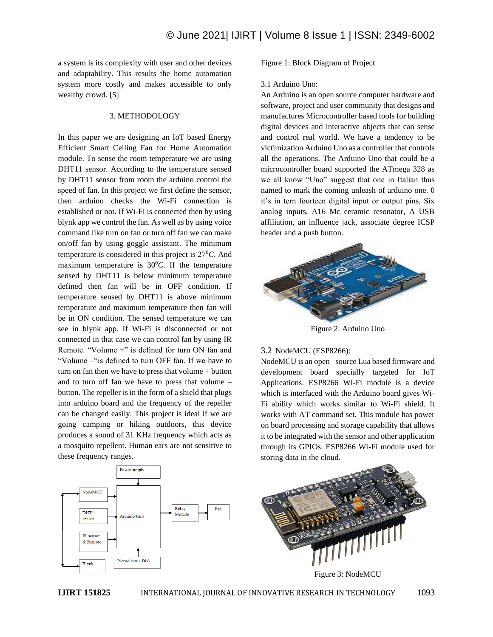a system is its complexity with user and other devices and adaptability. This results the home automation system more costly and makes accessible to only wealthy crowd. [5]

#### 3. METHODOLOGY

In this paper we are designing an IoT based Energy Efficient Smart Ceiling Fan for Home Automation module. To sense the room temperature we are using DHT11 sensor. According to the temperature sensed by DHT11 sensor from room the arduino control the speed of fan. In this project we first define the sensor, then arduino checks the Wi-Fi connection is established or not. If Wi-Fi is connected then by using blynk app we control the fan. As well as by using voice command like turn on fan or turn off fan we can make on/off fan by using goggle assistant. The minimum temperature is considered in this project is 27<sup>0</sup>*C*. And maximum temperature is  $30^{\circ}$ C. If the temperature sensed by DHT11 is below minimum temperature defined then fan will be in OFF condition. If temperature sensed by DHT11 is above minimum temperature and maximum temperature then fan will be in ON condition. The sensed temperature we can see in blynk app. If Wi-Fi is disconnected or not connected in that case we can control fan by using IR Remote. "Volume +" is defined for turn ON fan and "Volume –"is defined to turn OFF fan. If we have to turn on fan then we have to press that volume + button and to turn off fan we have to press that volume – button. The repeller is in the form of a shield that plugs into arduino board and the frequency of the repeller can be changed easily. This project is ideal if we are going camping or hiking outdoors, this device produces a sound of 31 KHz frequency which acts as a mosquito repellent. Human ears are not sensitive to these frequency ranges.

Figure 1: Block Diagram of Project

#### 3.1 Arduino Uno:

An Arduino is an open source computer hardware and software, project and user community that designs and manufactures Microcontroller based tools for building digital devices and interactive objects that can sense and control real world. We have a tendency to be victimization Arduino Uno as a controller that controls all the operations. The Arduino Uno that could be a microcontroller board supported the ATmega 328 as we all know "Uno" suggest that one in Italian thus named to mark the coming unleash of arduino one. 0 it's in tern fourteen digital input or output pins, Six analog inputs, A16 Mc ceramic resonator, A USB affiliation, an influence jack, associate degree ICSP header and a push button.



Figure 2: Arduino Uno

### 3.2 NodeMCU (ESP8266):

NodeMCU is an open –source Lua based firmware and development board specially targeted for IoT Applications. ESP8266 Wi-Fi module is a device which is interfaced with the Arduino board gives Wi-Fi ability which works similar to Wi-Fi shield. It works with AT command set. This module has power on board processing and storage capability that allows it to be integrated with the sensor and other application through its GPIOs. ESP8266 Wi-Fi module used for storing data in the cloud.

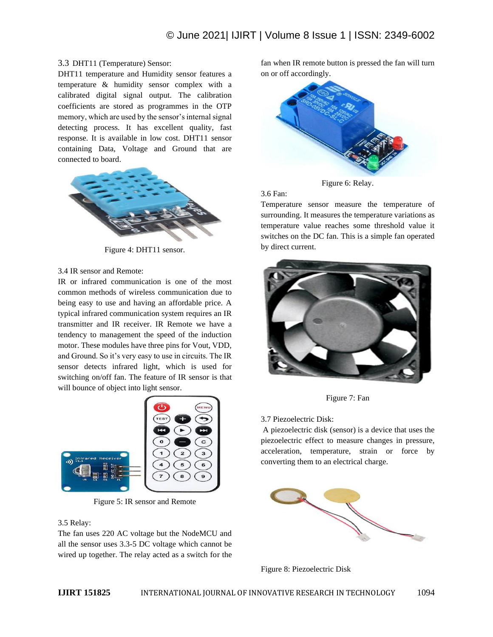## 3.3 DHT11 (Temperature) Sensor:

DHT11 temperature and Humidity sensor features a temperature & humidity sensor complex with a calibrated digital signal output. The calibration coefficients are stored as programmes in the OTP memory, which are used by the sensor's internal signal detecting process. It has excellent quality, fast response. It is available in low cost. DHT11 sensor containing Data, Voltage and Ground that are connected to board.



Figure 4: DHT11 sensor.

### 3.4 IR sensor and Remote:

IR or infrared communication is one of the most common methods of wireless communication due to being easy to use and having an affordable price. A typical infrared communication system requires an IR transmitter and IR receiver. IR Remote we have a tendency to management the speed of the induction motor. These modules have three pins for Vout, VDD, and Ground. So it's very easy to use in circuits. The IR sensor detects infrared light, which is used for switching on/off fan. The feature of IR sensor is that will bounce of object into light sensor.



Figure 5: IR sensor and Remote

#### 3.5 Relay:

The fan uses 220 AC voltage but the NodeMCU and all the sensor uses 3.3-5 DC voltage which cannot be wired up together. The relay acted as a switch for the

fan when IR remote button is pressed the fan will turn on or off accordingly.



Figure 6: Relay.

3.6 Fan:

Temperature sensor measure the temperature of surrounding. It measures the temperature variations as temperature value reaches some threshold value it switches on the DC fan. This is a simple fan operated by direct current.



Figure 7: Fan

3.7 Piezoelectric Disk:

A piezoelectric disk (sensor) is a device that uses the piezoelectric effect to measure changes in pressure, acceleration, temperature, strain or force by converting them to an electrical charge.



Figure 8: Piezoelectric Disk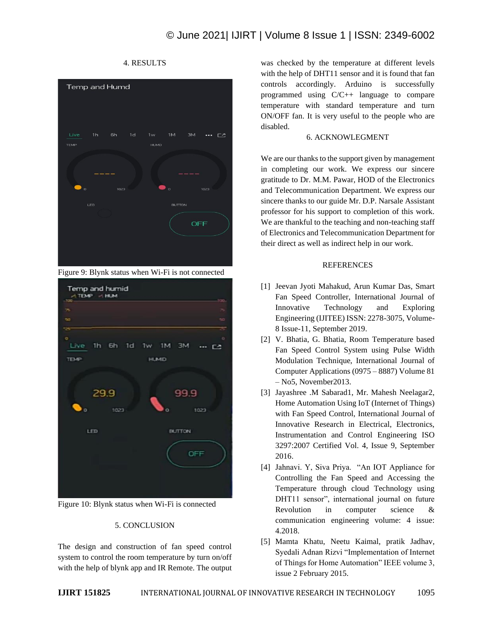



Figure 10: Blynk status when Wi-Fi is connected

## 5. CONCLUSION

The design and construction of fan speed control system to control the room temperature by turn on/off with the help of blynk app and IR Remote. The output was checked by the temperature at different levels with the help of DHT11 sensor and it is found that fan controls accordingly. Arduino is successfully programmed using C/C++ language to compare temperature with standard temperature and turn ON/OFF fan. It is very useful to the people who are disabled.

# 6. ACKNOWLEGMENT

We are our thanks to the support given by management in completing our work. We express our sincere gratitude to Dr. M.M. Pawar, HOD of the Electronics and Telecommunication Department. We express our sincere thanks to our guide Mr. D.P. Narsale Assistant professor for his support to completion of this work. We are thankful to the teaching and non-teaching staff of Electronics and Telecommunication Department for their direct as well as indirect help in our work.

## REFERENCES

- [1] Jeevan Jyoti Mahakud, Arun Kumar Das, Smart Fan Speed Controller, International Journal of Innovative Technology and Exploring Engineering (IJITEE) ISSN: 2278-3075, Volume-8 Issue-11, September 2019.
- [2] V. Bhatia, G. Bhatia, Room Temperature based Fan Speed Control System using Pulse Width Modulation Technique, International Journal of Computer Applications (0975 – 8887) Volume 81 – No5, November2013.
- [3] Jayashree .M Sabarad1, Mr. Mahesh Neelagar2, Home Automation Using IoT (Internet of Things) with Fan Speed Control, International Journal of Innovative Research in Electrical, Electronics, Instrumentation and Control Engineering ISO 3297:2007 Certified Vol. 4, Issue 9, September 2016.
- [4] Jahnavi. Y, Siva Priya. "An IOT Appliance for Controlling the Fan Speed and Accessing the Temperature through cloud Technology using DHT11 sensor", international journal on future Revolution in computer science & communication engineering volume: 4 issue: 4.2018.
- [5] Mamta Khatu, Neetu Kaimal, pratik Jadhav, Syedali Adnan Rizvi "Implementation of Internet of Things for Home Automation" IEEE volume 3, issue 2 February 2015.

# 4. RESULTS